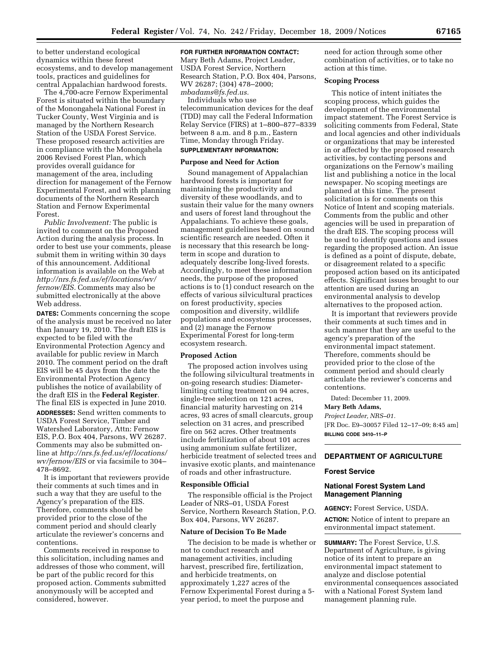to better understand ecological dynamics within these forest ecosystems, and to develop management tools, practices and guidelines for central Appalachian hardwood forests.

The 4,700-acre Fernow Experimental Forest is situated within the boundary of the Monongahela National Forest in Tucker County, West Virginia and is managed by the Northern Research Station of the USDA Forest Service. These proposed research activities are in compliance with the Monongahela 2006 Revised Forest Plan, which provides overall guidance for management of the area, including direction for management of the Fernow Experimental Forest, and with planning documents of the Northern Research Station and Fernow Experimental Forest.

*Public Involvement:* The public is invited to comment on the Proposed Action during the analysis process. In order to best use your comments, please submit them in writing within 30 days of this announcement. Additional information is available on the Web at *http://nrs.fs.fed.us/ef/locations/wv/ fernow/EIS.* Comments may also be submitted electronically at the above Web address.

**DATES:** Comments concerning the scope of the analysis must be received no later than January 19, 2010. The draft EIS is expected to be filed with the Environmental Protection Agency and available for public review in March 2010. The comment period on the draft EIS will be 45 days from the date the Environmental Protection Agency publishes the notice of availability of the draft EIS in the **Federal Register**. The final EIS is expected in June 2010. **ADDRESSES:** Send written comments to USDA Forest Service, Timber and Watershed Laboratory, Attn: Fernow EIS, P.O. Box 404, Parsons, WV 26287. Comments may also be submitted online at *http://nrs.fs.fed.us/ef/locations/ wv/fernow/EIS* or via facsimile to 304– 478–8692.

It is important that reviewers provide their comments at such times and in such a way that they are useful to the Agency's preparation of the EIS. Therefore, comments should be provided prior to the close of the comment period and should clearly articulate the reviewer's concerns and contentions.

Comments received in response to this solicitation, including names and addresses of those who comment, will be part of the public record for this proposed action. Comments submitted anonymously will be accepted and considered, however.

# **FOR FURTHER INFORMATION CONTACT:**

Mary Beth Adams, Project Leader, USDA Forest Service, Northern Research Station, P.O. Box 404, Parsons, WV 26287; (304) 478–2000; *mbadams@fs.fed.us.* 

Individuals who use

telecommunication devices for the deaf (TDD) may call the Federal Information Relay Service (FIRS) at 1–800–877–8339 between 8 a.m. and 8 p.m., Eastern Time, Monday through Friday. **SUPPLEMENTARY INFORMATION:** 

# **Purpose and Need for Action**

Sound management of Appalachian hardwood forests is important for maintaining the productivity and diversity of these woodlands, and to sustain their value for the many owners and users of forest land throughout the Appalachians. To achieve these goals, management guidelines based on sound scientific research are needed. Often it is necessary that this research be longterm in scope and duration to adequately describe long-lived forests. Accordingly, to meet these information needs, the purpose of the proposed actions is to (1) conduct research on the effects of various silvicultural practices on forest productivity, species composition and diversity, wildlife populations and ecosystems processes, and (2) manage the Fernow Experimental Forest for long-term ecosystem research.

#### **Proposed Action**

The proposed action involves using the following silvicultural treatments in on-going research studies: Diameterlimiting cutting treatment on 94 acres, single-tree selection on 121 acres, financial maturity harvesting on 214 acres, 93 acres of small clearcuts, group selection on 31 acres, and prescribed fire on 562 acres. Other treatments include fertilization of about 101 acres using ammonium sulfate fertilizer, herbicide treatment of selected trees and invasive exotic plants, and maintenance of roads and other infrastructure.

#### **Responsible Official**

The responsible official is the Project Leader of NRS–01, USDA Forest Service, Northern Research Station, P.O. Box 404, Parsons, WV 26287.

# **Nature of Decision To Be Made**

The decision to be made is whether or not to conduct research and management activities, including harvest, prescribed fire, fertilization, and herbicide treatments, on approximately 1,227 acres of the Fernow Experimental Forest during a 5 year period, to meet the purpose and

need for action through some other combination of activities, or to take no action at this time.

## **Scoping Process**

This notice of intent initiates the scoping process, which guides the development of the environmental impact statement. The Forest Service is soliciting comments from Federal, State and local agencies and other individuals or organizations that may be interested in or affected by the proposed research activities, by contacting persons and organizations on the Fernow's mailing list and publishing a notice in the local newspaper. No scoping meetings are planned at this time. The present solicitation is for comments on this Notice of Intent and scoping materials. Comments from the public and other agencies will be used in preparation of the draft EIS. The scoping process will be used to identify questions and issues regarding the proposed action. An issue is defined as a point of dispute, debate, or disagreement related to a specific proposed action based on its anticipated effects. Significant issues brought to our attention are used during an environmental analysis to develop alternatives to the proposed action.

It is important that reviewers provide their comments at such times and in such manner that they are useful to the agency's preparation of the environmental impact statement. Therefore, comments should be provided prior to the close of the comment period and should clearly articulate the reviewer's concerns and contentions.

Dated: December 11, 2009.

# **Mary Beth Adams,**

*Project Leader, NRS–01.*  [FR Doc. E9–30057 Filed 12–17–09; 8:45 am] **BILLING CODE 3410–11–P** 

# **DEPARTMENT OF AGRICULTURE**

#### **Forest Service**

## **National Forest System Land Management Planning**

**AGENCY:** Forest Service, USDA.

**ACTION:** Notice of intent to prepare an environmental impact statement.

**SUMMARY:** The Forest Service, U.S. Department of Agriculture, is giving notice of its intent to prepare an environmental impact statement to analyze and disclose potential environmental consequences associated with a National Forest System land management planning rule.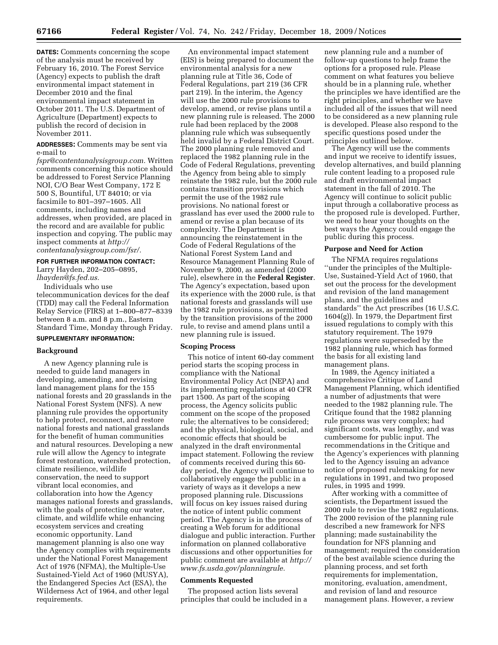**DATES:** Comments concerning the scope of the analysis must be received by February 16, 2010. The Forest Service (Agency) expects to publish the draft environmental impact statement in December 2010 and the final environmental impact statement in October 2011. The U.S. Department of Agriculture (Department) expects to publish the record of decision in November 2011.

**ADDRESSES:** Comments may be sent via e-mail to

*fspr@contentanalysisgroup.com.* Written comments concerning this notice should be addressed to Forest Service Planning NOI, C/O Bear West Company, 172 E 500 S, Bountiful, UT 84010; or via facsimile to 801–397–1605. All comments, including names and addresses, when provided, are placed in the record and are available for public inspection and copying. The public may inspect comments at *http:// contentanalysisgroup.com/fsr/.* 

# **FOR FURTHER INFORMATION CONTACT:**

Larry Hayden, 202–205–0895, *lhayden@fs.fed.us.* 

Individuals who use telecommunication devices for the deaf (TDD) may call the Federal Information Relay Service (FIRS) at 1–800–877–8339 between 8 a.m. and 8 p.m., Eastern Standard Time, Monday through Friday.

## **SUPPLEMENTARY INFORMATION:**

## **Background**

A new Agency planning rule is needed to guide land managers in developing, amending, and revising land management plans for the 155 national forests and 20 grasslands in the National Forest System (NFS). A new planning rule provides the opportunity to help protect, reconnect, and restore national forests and national grasslands for the benefit of human communities and natural resources. Developing a new rule will allow the Agency to integrate forest restoration, watershed protection, climate resilience, wildlife conservation, the need to support vibrant local economies, and collaboration into how the Agency manages national forests and grasslands, with the goals of protecting our water, climate, and wildlife while enhancing ecosystem services and creating economic opportunity. Land management planning is also one way the Agency complies with requirements under the National Forest Management Act of 1976 (NFMA), the Multiple-Use Sustained-Yield Act of 1960 (MUSYA), the Endangered Species Act (ESA), the Wilderness Act of 1964, and other legal requirements.

An environmental impact statement (EIS) is being prepared to document the environmental analysis for a new planning rule at Title 36, Code of Federal Regulations, part 219 (36 CFR part 219). In the interim, the Agency will use the 2000 rule provisions to develop, amend, or revise plans until a new planning rule is released. The 2000 rule had been replaced by the 2008 planning rule which was subsequently held invalid by a Federal District Court. The 2000 planning rule removed and replaced the 1982 planning rule in the Code of Federal Regulations, preventing the Agency from being able to simply reinstate the 1982 rule, but the 2000 rule contains transition provisions which permit the use of the 1982 rule provisions. No national forest or grassland has ever used the 2000 rule to amend or revise a plan because of its complexity. The Department is announcing the reinstatement in the Code of Federal Regulations of the National Forest System Land and Resource Management Planning Rule of November 9, 2000, as amended (2000 rule), elsewhere in the **Federal Register**. The Agency's expectation, based upon its experience with the 2000 rule, is that national forests and grasslands will use the 1982 rule provisions, as permitted by the transition provisions of the 2000 rule, to revise and amend plans until a new planning rule is issued.

#### **Scoping Process**

This notice of intent 60-day comment period starts the scoping process in compliance with the National Environmental Policy Act (NEPA) and its implementing regulations at 40 CFR part 1500. As part of the scoping process, the Agency solicits public comment on the scope of the proposed rule; the alternatives to be considered; and the physical, biological, social, and economic effects that should be analyzed in the draft environmental impact statement. Following the review of comments received during this 60 day period, the Agency will continue to collaboratively engage the public in a variety of ways as it develops a new proposed planning rule. Discussions will focus on key issues raised during the notice of intent public comment period. The Agency is in the process of creating a Web forum for additional dialogue and public interaction. Further information on planned collaborative discussions and other opportunities for public comment are available at *http:// www.fs.usda.gov/planningrule.* 

## **Comments Requested**

The proposed action lists several principles that could be included in a

new planning rule and a number of follow-up questions to help frame the options for a proposed rule. Please comment on what features you believe should be in a planning rule, whether the principles we have identified are the right principles, and whether we have included all of the issues that will need to be considered as a new planning rule is developed. Please also respond to the specific questions posed under the principles outlined below.

The Agency will use the comments and input we receive to identify issues, develop alternatives, and build planning rule content leading to a proposed rule and draft environmental impact statement in the fall of 2010. The Agency will continue to solicit public input through a collaborative process as the proposed rule is developed. Further, we need to hear your thoughts on the best ways the Agency could engage the public during this process.

## **Purpose and Need for Action**

The NFMA requires regulations ''under the principles of the Multiple-Use, Sustained-Yield Act of 1960, that set out the process for the development and revision of the land management plans, and the guidelines and standards'' the Act prescribes (16 U.S.C. 1604(g)). In 1979, the Department first issued regulations to comply with this statutory requirement. The 1979 regulations were superseded by the 1982 planning rule, which has formed the basis for all existing land management plans.

In 1989, the Agency initiated a comprehensive Critique of Land Management Planning, which identified a number of adjustments that were needed to the 1982 planning rule. The Critique found that the 1982 planning rule process was very complex; had significant costs, was lengthy, and was cumbersome for public input. The recommendations in the Critique and the Agency's experiences with planning led to the Agency issuing an advance notice of proposed rulemaking for new regulations in 1991, and two proposed rules, in 1995 and 1999.

After working with a committee of scientists, the Department issued the 2000 rule to revise the 1982 regulations. The 2000 revision of the planning rule described a new framework for NFS planning; made sustainability the foundation for NFS planning and management; required the consideration of the best available science during the planning process, and set forth requirements for implementation, monitoring, evaluation, amendment, and revision of land and resource management plans. However, a review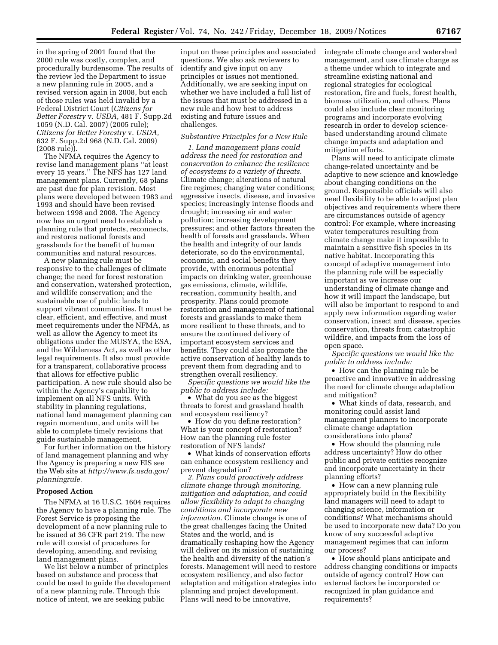in the spring of 2001 found that the 2000 rule was costly, complex, and procedurally burdensome. The results of the review led the Department to issue a new planning rule in 2005, and a revised version again in 2008, but each of those rules was held invalid by a Federal District Court (*Citizens for Better Forestry* v. *USDA,* 481 F. Supp.2d 1059 (N.D. Cal. 2007) (2005 rule); *Citizens for Better Forestry* v. *USDA,*  632 F. Supp.2d 968 (N.D. Cal. 2009) (2008 rule)).

The NFMA requires the Agency to revise land management plans ''at least every 15 years.'' The NFS has 127 land management plans. Currently, 68 plans are past due for plan revision. Most plans were developed between 1983 and 1993 and should have been revised between 1998 and 2008. The Agency now has an urgent need to establish a planning rule that protects, reconnects, and restores national forests and grasslands for the benefit of human communities and natural resources.

A new planning rule must be responsive to the challenges of climate change; the need for forest restoration and conservation, watershed protection, and wildlife conservation; and the sustainable use of public lands to support vibrant communities. It must be clear, efficient, and effective, and must meet requirements under the NFMA, as well as allow the Agency to meet its obligations under the MUSYA, the ESA, and the Wilderness Act, as well as other legal requirements. It also must provide for a transparent, collaborative process that allows for effective public participation. A new rule should also be within the Agency's capability to implement on all NFS units. With stability in planning regulations, national land management planning can regain momentum, and units will be able to complete timely revisions that guide sustainable management.

For further information on the history of land management planning and why the Agency is preparing a new EIS see the Web site at *http://www.fs.usda.gov/ planningrule.* 

## **Proposed Action**

The NFMA at 16 U.S.C. 1604 requires the Agency to have a planning rule. The Forest Service is proposing the development of a new planning rule to be issued at 36 CFR part 219. The new rule will consist of procedures for developing, amending, and revising land management plans.

We list below a number of principles based on substance and process that could be used to guide the development of a new planning rule. Through this notice of intent, we are seeking public

input on these principles and associated questions. We also ask reviewers to identify and give input on any principles or issues not mentioned. Additionally, we are seeking input on whether we have included a full list of the issues that must be addressed in a new rule and how best to address existing and future issues and challenges.

#### *Substantive Principles for a New Rule*

*1. Land management plans could address the need for restoration and conservation to enhance the resilience of ecosystems to a variety of threats.*  Climate change; alterations of natural fire regimes; changing water conditions; aggressive insects, disease, and invasive species; increasingly intense floods and drought; increasing air and water pollution; increasing development pressures; and other factors threaten the health of forests and grasslands. When the health and integrity of our lands deteriorate, so do the environmental, economic, and social benefits they provide, with enormous potential impacts on drinking water, greenhouse gas emissions, climate, wildlife, recreation, community health, and prosperity. Plans could promote restoration and management of national forests and grasslands to make them more resilient to these threats, and to ensure the continued delivery of important ecosystem services and benefits. They could also promote the active conservation of healthy lands to prevent them from degrading and to strengthen overall resiliency.

*Specific questions we would like the public to address include:* 

• What do you see as the biggest threats to forest and grassland health and ecosystem resiliency?

• How do you define restoration? What is your concept of restoration? How can the planning rule foster restoration of NFS lands?

• What kinds of conservation efforts can enhance ecosystem resiliency and prevent degradation?

*2. Plans could proactively address climate change through monitoring, mitigation and adaptation, and could allow flexibility to adapt to changing conditions and incorporate new information.* Climate change is one of the great challenges facing the United States and the world, and is dramatically reshaping how the Agency will deliver on its mission of sustaining the health and diversity of the nation's forests. Management will need to restore ecosystem resiliency, and also factor adaptation and mitigation strategies into planning and project development. Plans will need to be innovative,

integrate climate change and watershed management, and use climate change as a theme under which to integrate and streamline existing national and regional strategies for ecological restoration, fire and fuels, forest health, biomass utilization, and others. Plans could also include clear monitoring programs and incorporate evolving research in order to develop sciencebased understanding around climate change impacts and adaptation and mitigation efforts.

Plans will need to anticipate climate change-related uncertainty and be adaptive to new science and knowledge about changing conditions on the ground. Responsible officials will also need flexibility to be able to adjust plan objectives and requirements where there are circumstances outside of agency control: For example, where increasing water temperatures resulting from climate change make it impossible to maintain a sensitive fish species in its native habitat. Incorporating this concept of adaptive management into the planning rule will be especially important as we increase our understanding of climate change and how it will impact the landscape, but will also be important to respond to and apply new information regarding water conservation, insect and disease, species conservation, threats from catastrophic wildfire, and impacts from the loss of open space.

*Specific questions we would like the public to address include:* 

• How can the planning rule be proactive and innovative in addressing the need for climate change adaptation and mitigation?

• What kinds of data, research, and monitoring could assist land management planners to incorporate climate change adaptation considerations into plans?

• How should the planning rule address uncertainty? How do other public and private entities recognize and incorporate uncertainty in their planning efforts?

• How can a new planning rule appropriately build in the flexibility land managers will need to adapt to changing science, information or conditions? What mechanisms should be used to incorporate new data? Do you know of any successful adaptive management regimes that can inform our process?

• How should plans anticipate and address changing conditions or impacts outside of agency control? How can external factors be incorporated or recognized in plan guidance and requirements?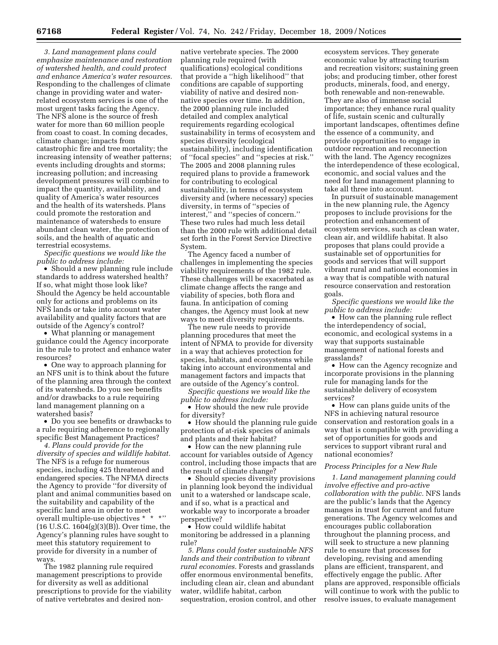*3. Land management plans could emphasize maintenance and restoration of watershed health, and could protect and enhance America's water resources.*  Responding to the challenges of climate change in providing water and waterrelated ecosystem services is one of the most urgent tasks facing the Agency. The NFS alone is the source of fresh water for more than 60 million people from coast to coast. In coming decades, climate change; impacts from catastrophic fire and tree mortality; the increasing intensity of weather patterns; events including droughts and storms; increasing pollution; and increasing development pressures will combine to impact the quantity, availability, and quality of America's water resources and the health of its watersheds. Plans could promote the restoration and maintenance of watersheds to ensure abundant clean water, the protection of soils, and the health of aquatic and terrestrial ecosystems.

*Specific questions we would like the public to address include:* 

• Should a new planning rule include standards to address watershed health? If so, what might those look like? Should the Agency be held accountable only for actions and problems on its NFS lands or take into account water availability and quality factors that are outside of the Agency's control?

• What planning or management guidance could the Agency incorporate in the rule to protect and enhance water resources?

• One way to approach planning for an NFS unit is to think about the future of the planning area through the context of its watersheds. Do you see benefits and/or drawbacks to a rule requiring land management planning on a watershed basis?

• Do you see benefits or drawbacks to a rule requiring adherence to regionally specific Best Management Practices?

*4. Plans could provide for the diversity of species and wildlife habitat.*  The NFS is a refuge for numerous species, including 425 threatened and endangered species. The NFMA directs the Agency to provide ''for diversity of plant and animal communities based on the suitability and capability of the specific land area in order to meet overall multiple-use objectives \* \* \*'' (16 U.S.C. 1604(g)(3)(B)). Over time, the Agency's planning rules have sought to meet this statutory requirement to provide for diversity in a number of ways.

The 1982 planning rule required management prescriptions to provide for diversity as well as additional prescriptions to provide for the viability of native vertebrates and desired non-

native vertebrate species. The 2000 planning rule required (with qualifications) ecological conditions that provide a ''high likelihood'' that conditions are capable of supporting viability of native and desired nonnative species over time. In addition, the 2000 planning rule included detailed and complex analytical requirements regarding ecological sustainability in terms of ecosystem and species diversity (ecological sustainability), including identification of ''focal species'' and ''species at risk.'' The 2005 and 2008 planning rules required plans to provide a framework for contributing to ecological sustainability, in terms of ecosystem diversity and (where necessary) species diversity, in terms of ''species of interest,'' and ''species of concern.'' These two rules had much less detail than the 2000 rule with additional detail set forth in the Forest Service Directive System.

The Agency faced a number of challenges in implementing the species viability requirements of the 1982 rule. These challenges will be exacerbated as climate change affects the range and viability of species, both flora and fauna. In anticipation of coming changes, the Agency must look at new ways to meet diversity requirements.

The new rule needs to provide planning procedures that meet the intent of NFMA to provide for diversity in a way that achieves protection for species, habitats, and ecosystems while taking into account environmental and management factors and impacts that are outside of the Agency's control.

*Specific questions we would like the public to address include:* 

• How should the new rule provide for diversity?

• How should the planning rule guide protection of at-risk species of animals and plants and their habitat?

• How can the new planning rule account for variables outside of Agency control, including those impacts that are the result of climate change?

• Should species diversity provisions in planning look beyond the individual unit to a watershed or landscape scale, and if so, what is a practical and workable way to incorporate a broader perspective?

• How could wildlife habitat monitoring be addressed in a planning rule?

*5. Plans could foster sustainable NFS lands and their contribution to vibrant rural economies.* Forests and grasslands offer enormous environmental benefits, including clean air, clean and abundant water, wildlife habitat, carbon sequestration, erosion control, and other ecosystem services. They generate economic value by attracting tourism and recreation visitors; sustaining green jobs; and producing timber, other forest products, minerals, food, and energy, both renewable and non-renewable. They are also of immense social importance; they enhance rural quality of life, sustain scenic and culturally important landscapes, oftentimes define the essence of a community, and provide opportunities to engage in outdoor recreation and reconnection with the land. The Agency recognizes the interdependence of these ecological, economic, and social values and the need for land management planning to take all three into account.

In pursuit of sustainable management in the new planning rule, the Agency proposes to include provisions for the protection and enhancement of ecosystem services, such as clean water, clean air, and wildlife habitat. It also proposes that plans could provide a sustainable set of opportunities for goods and services that will support vibrant rural and national economies in a way that is compatible with natural resource conservation and restoration goals.

*Specific questions we would like the public to address include:* 

• How can the planning rule reflect the interdependency of social, economic, and ecological systems in a way that supports sustainable management of national forests and grasslands?

• How can the Agency recognize and incorporate provisions in the planning rule for managing lands for the sustainable delivery of ecosystem services?

• How can plans guide units of the NFS in achieving natural resource conservation and restoration goals in a way that is compatible with providing a set of opportunities for goods and services to support vibrant rural and national economies?

#### *Process Principles for a New Rule*

*1. Land management planning could involve effective and pro-active collaboration with the public.* NFS lands are the public's lands that the Agency manages in trust for current and future generations. The Agency welcomes and encourages public collaboration throughout the planning process, and will seek to structure a new planning rule to ensure that processes for developing, revising and amending plans are efficient, transparent, and effectively engage the public. After plans are approved, responsible officials will continue to work with the public to resolve issues, to evaluate management